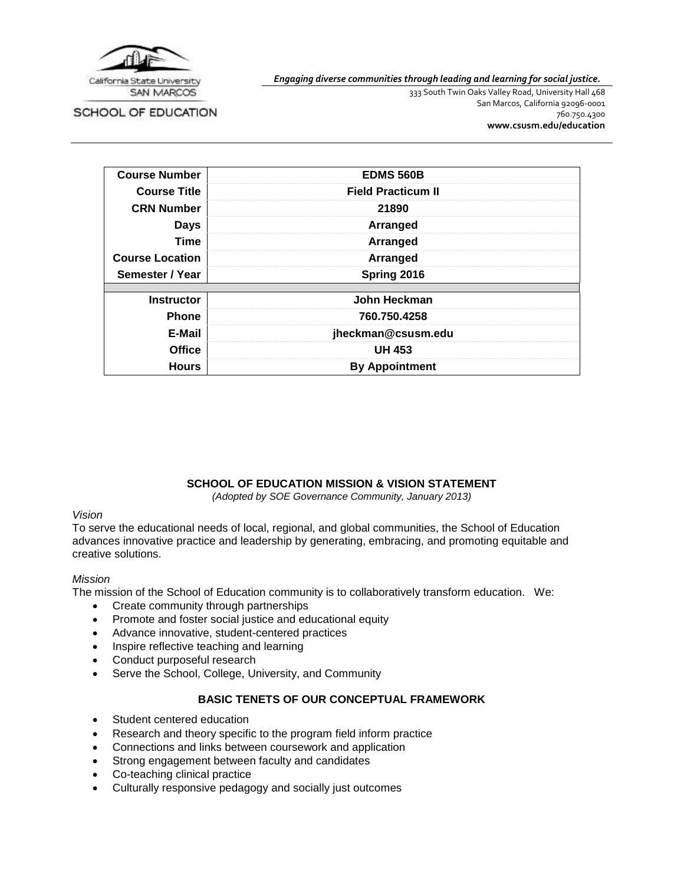

SCHOOL OF EDUCATION

*Engaging diverse communities through leading and learning for social justice.*

333 South Twin Oaks Valley Road, University Hall 468 San Marcos, California 92096-0001 760.750.4300 **[www.csusm.edu/education](http://www.csusm.edu/education)**

| <b>Course Number</b>   | <b>EDMS 560B</b>          |
|------------------------|---------------------------|
| <b>Course Title</b>    | <b>Field Practicum II</b> |
| <b>CRN Number</b>      | 21890                     |
| <b>Days</b>            | Arranged                  |
| Time                   | Arranged                  |
| <b>Course Location</b> | Arranged                  |
| Semester / Year        | Spring 2016               |
|                        |                           |
| <b>Instructor</b>      | John Heckman              |
| <b>Phone</b>           | 760.750.4258              |
| E-Mail                 | jheckman@csusm.edu        |
| <b>Office</b>          | <b>UH 453</b>             |
| <b>Hours</b>           | <b>By Appointment</b>     |

# **SCHOOL OF EDUCATION MISSION & VISION STATEMENT**

*(Adopted by SOE Governance Community, January 2013)*

#### *Vision*

To serve the educational needs of local, regional, and global communities, the School of Education advances innovative practice and leadership by generating, embracing, and promoting equitable and creative solutions.

#### *Mission*

The mission of the School of Education community is to collaboratively transform education. We:

- Create community through partnerships
- Promote and foster social justice and educational equity
- Advance innovative, student-centered practices
- Inspire reflective teaching and learning
- Conduct purposeful research
- Serve the School, College, University, and Community

# **BASIC TENETS OF OUR CONCEPTUAL FRAMEWORK**

- Student centered education
- Research and theory specific to the program field inform practice
- Connections and links between coursework and application
- Strong engagement between faculty and candidates
- Co-teaching clinical practice
- Culturally responsive pedagogy and socially just outcomes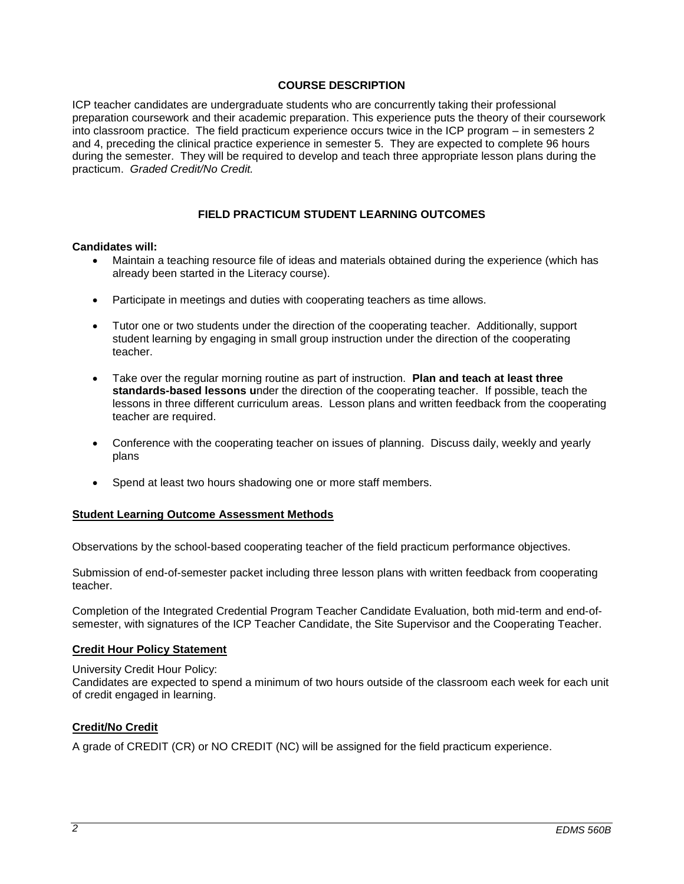### **COURSE DESCRIPTION**

ICP teacher candidates are undergraduate students who are concurrently taking their professional preparation coursework and their academic preparation. This experience puts the theory of their coursework into classroom practice. The field practicum experience occurs twice in the ICP program – in semesters 2 and 4, preceding the clinical practice experience in semester 5. They are expected to complete 96 hours during the semester. They will be required to develop and teach three appropriate lesson plans during the practicum. *Graded Credit/No Credit.* 

## **FIELD PRACTICUM STUDENT LEARNING OUTCOMES**

#### **Candidates will:**

- Maintain a teaching resource file of ideas and materials obtained during the experience (which has already been started in the Literacy course).
- Participate in meetings and duties with cooperating teachers as time allows.
- Tutor one or two students under the direction of the cooperating teacher. Additionally, support student learning by engaging in small group instruction under the direction of the cooperating teacher.
- Take over the regular morning routine as part of instruction. **Plan and teach at least three standards-based lessons u**nder the direction of the cooperating teacher. If possible, teach the lessons in three different curriculum areas. Lesson plans and written feedback from the cooperating teacher are required.
- Conference with the cooperating teacher on issues of planning. Discuss daily, weekly and yearly plans
- Spend at least two hours shadowing one or more staff members.

#### **Student Learning Outcome Assessment Methods**

Observations by the school-based cooperating teacher of the field practicum performance objectives.

Submission of end-of-semester packet including three lesson plans with written feedback from cooperating teacher.

Completion of the Integrated Credential Program Teacher Candidate Evaluation, both mid-term and end-ofsemester, with signatures of the ICP Teacher Candidate, the Site Supervisor and the Cooperating Teacher.

#### **Credit Hour Policy Statement**

University Credit Hour Policy:

Candidates are expected to spend a minimum of two hours outside of the classroom each week for each unit of credit engaged in learning.

#### **Credit/No Credit**

A grade of CREDIT (CR) or NO CREDIT (NC) will be assigned for the field practicum experience.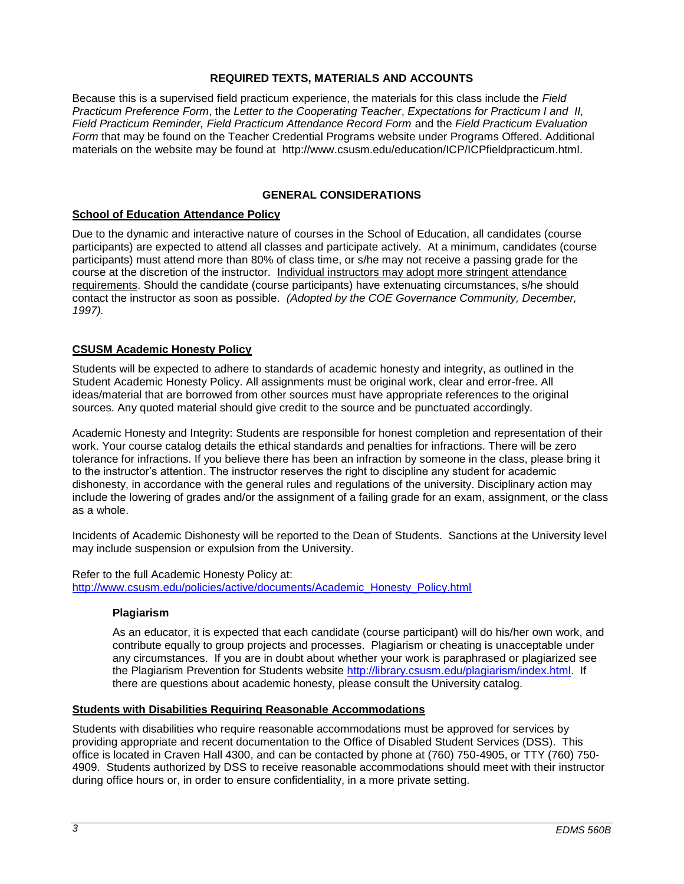### **REQUIRED TEXTS, MATERIALS AND ACCOUNTS**

Because this is a supervised field practicum experience, the materials for this class include the *Field Practicum Preference Form*, the *Letter to the Cooperating Teacher*, *Expectations for Practicum I and II, Field Practicum Reminder, Field Practicum Attendance Record Form* and the *Field Practicum Evaluation Form* that may be found on the Teacher Credential Programs website under Programs Offered. Additional materials on the website may be found at http://www.csusm.edu/education/ICP/ICPfieldpracticum.html.

### **GENERAL CONSIDERATIONS**

### **School of Education Attendance Policy**

Due to the dynamic and interactive nature of courses in the School of Education, all candidates (course participants) are expected to attend all classes and participate actively. At a minimum, candidates (course participants) must attend more than 80% of class time, or s/he may not receive a passing grade for the course at the discretion of the instructor. Individual instructors may adopt more stringent attendance requirements. Should the candidate (course participants) have extenuating circumstances, s/he should contact the instructor as soon as possible. *(Adopted by the COE Governance Community, December, 1997).*

### **CSUSM Academic Honesty Policy**

Students will be expected to adhere to standards of academic honesty and integrity, as outlined in the Student Academic Honesty Policy. All assignments must be original work, clear and error-free. All ideas/material that are borrowed from other sources must have appropriate references to the original sources. Any quoted material should give credit to the source and be punctuated accordingly.

Academic Honesty and Integrity: Students are responsible for honest completion and representation of their work. Your course catalog details the ethical standards and penalties for infractions. There will be zero tolerance for infractions. If you believe there has been an infraction by someone in the class, please bring it to the instructor's attention. The instructor reserves the right to discipline any student for academic dishonesty, in accordance with the general rules and regulations of the university. Disciplinary action may include the lowering of grades and/or the assignment of a failing grade for an exam, assignment, or the class as a whole.

Incidents of Academic Dishonesty will be reported to the Dean of Students. Sanctions at the University level may include suspension or expulsion from the University.

Refer to the full Academic Honesty Policy at: [http://www.csusm.edu/policies/active/documents/Academic\\_Honesty\\_Policy.html](http://www.csusm.edu/policies/active/documents/Academic_Honesty_Policy.html)

#### **Plagiarism**

As an educator, it is expected that each candidate (course participant) will do his/her own work, and contribute equally to group projects and processes. Plagiarism or cheating is unacceptable under any circumstances. If you are in doubt about whether your work is paraphrased or plagiarized see the Plagiarism Prevention for Students website [http://library.csusm.edu/plagiarism/index.html.](http://library.csusm.edu/plagiarism/index.html) If there are questions about academic honesty, please consult the University catalog.

#### **Students with Disabilities Requiring Reasonable Accommodations**

Students with disabilities who require reasonable accommodations must be approved for services by providing appropriate and recent documentation to the Office of Disabled Student Services (DSS). This office is located in Craven Hall 4300, and can be contacted by phone at (760) 750-4905, or TTY (760) 750- 4909. Students authorized by DSS to receive reasonable accommodations should meet with their instructor during office hours or, in order to ensure confidentiality, in a more private setting.